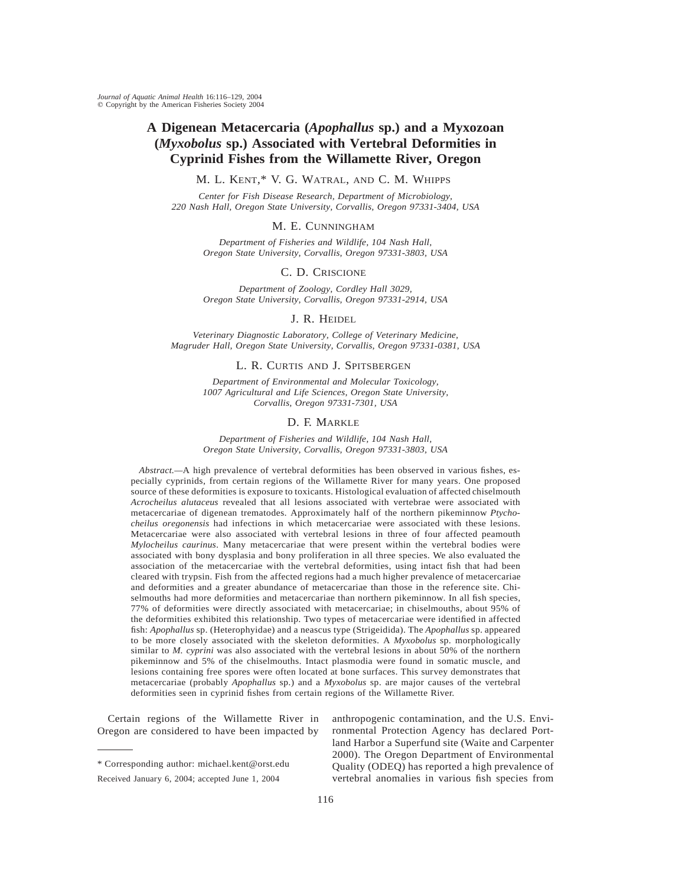# **A Digenean Metacercaria (***Apophallus* **sp.) and a Myxozoan (***Myxobolus* **sp.) Associated with Vertebral Deformities in Cyprinid Fishes from the Willamette River, Oregon**

M. L. KENT,\* V. G. WATRAL, AND C. M. WHIPPS

*Center for Fish Disease Research, Department of Microbiology, 220 Nash Hall, Oregon State University, Corvallis, Oregon 97331-3404, USA*

M. E. CUNNINGHAM

*Department of Fisheries and Wildlife, 104 Nash Hall, Oregon State University, Corvallis, Oregon 97331-3803, USA*

## C. D. CRISCIONE

*Department of Zoology, Cordley Hall 3029, Oregon State University, Corvallis, Oregon 97331-2914, USA*

# J. R. HEIDEL

*Veterinary Diagnostic Laboratory, College of Veterinary Medicine, Magruder Hall, Oregon State University, Corvallis, Oregon 97331-0381, USA*

# L. R. CURTIS AND J. SPITSBERGEN

*Department of Environmental and Molecular Toxicology, 1007 Agricultural and Life Sciences, Oregon State University, Corvallis, Oregon 97331-7301, USA*

# D. F. MARKLE

*Department of Fisheries and Wildlife, 104 Nash Hall, Oregon State University, Corvallis, Oregon 97331-3803, USA*

*Abstract.—*A high prevalence of vertebral deformities has been observed in various fishes, especially cyprinids, from certain regions of the Willamette River for many years. One proposed source of these deformities is exposure to toxicants. Histological evaluation of affected chiselmouth *Acrocheilus alutaceus* revealed that all lesions associated with vertebrae were associated with metacercariae of digenean trematodes. Approximately half of the northern pikeminnow *Ptychocheilus oregonensis* had infections in which metacercariae were associated with these lesions. Metacercariae were also associated with vertebral lesions in three of four affected peamouth *Mylocheilus caurinus*. Many metacercariae that were present within the vertebral bodies were associated with bony dysplasia and bony proliferation in all three species. We also evaluated the association of the metacercariae with the vertebral deformities, using intact fish that had been cleared with trypsin. Fish from the affected regions had a much higher prevalence of metacercariae and deformities and a greater abundance of metacercariae than those in the reference site. Chiselmouths had more deformities and metacercariae than northern pikeminnow. In all fish species, 77% of deformities were directly associated with metacercariae; in chiselmouths, about 95% of the deformities exhibited this relationship. Two types of metacercariae were identified in affected fish: *Apophallus* sp. (Heterophyidae) and a neascus type (Strigeidida). The *Apophallus* sp. appeared to be more closely associated with the skeleton deformities. A *Myxobolus* sp. morphologically similar to *M. cyprini* was also associated with the vertebral lesions in about 50% of the northern pikeminnow and 5% of the chiselmouths. Intact plasmodia were found in somatic muscle, and lesions containing free spores were often located at bone surfaces. This survey demonstrates that metacercariae (probably *Apophallus* sp.) and a *Myxobolus* sp. are major causes of the vertebral deformities seen in cyprinid fishes from certain regions of the Willamette River.

Certain regions of the Willamette River in Oregon are considered to have been impacted by anthropogenic contamination, and the U.S. Environmental Protection Agency has declared Portland Harbor a Superfund site (Waite and Carpenter 2000). The Oregon Department of Environmental Quality (ODEQ) has reported a high prevalence of vertebral anomalies in various fish species from

<sup>\*</sup> Corresponding author: michael.kent@orst.edu

Received January 6, 2004; accepted June 1, 2004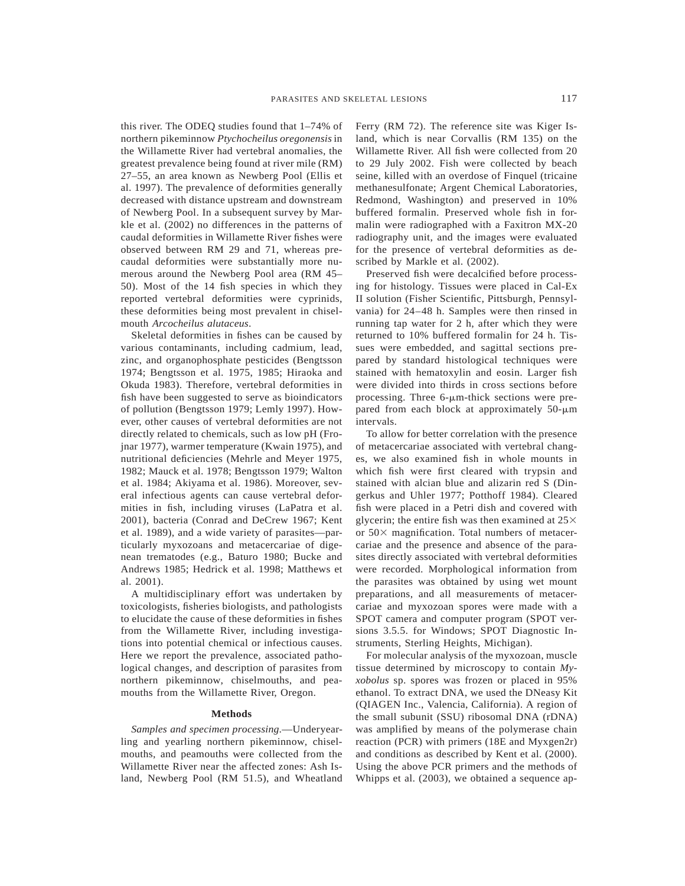this river. The ODEQ studies found that 1–74% of northern pikeminnow *Ptychocheilus oregonensis*in the Willamette River had vertebral anomalies, the greatest prevalence being found at river mile (RM) 27–55, an area known as Newberg Pool (Ellis et al. 1997). The prevalence of deformities generally decreased with distance upstream and downstream of Newberg Pool. In a subsequent survey by Markle et al. (2002) no differences in the patterns of caudal deformities in Willamette River fishes were observed between RM 29 and 71, whereas precaudal deformities were substantially more numerous around the Newberg Pool area (RM 45– 50). Most of the 14 fish species in which they reported vertebral deformities were cyprinids, these deformities being most prevalent in chiselmouth *Arcocheilus alutaceus*.

Skeletal deformities in fishes can be caused by various contaminants, including cadmium, lead, zinc, and organophosphate pesticides (Bengtsson 1974; Bengtsson et al. 1975, 1985; Hiraoka and Okuda 1983). Therefore, vertebral deformities in fish have been suggested to serve as bioindicators of pollution (Bengtsson 1979; Lemly 1997). However, other causes of vertebral deformities are not directly related to chemicals, such as low pH (Frojnar 1977), warmer temperature (Kwain 1975), and nutritional deficiencies (Mehrle and Meyer 1975, 1982; Mauck et al. 1978; Bengtsson 1979; Walton et al. 1984; Akiyama et al. 1986). Moreover, several infectious agents can cause vertebral deformities in fish, including viruses (LaPatra et al. 2001), bacteria (Conrad and DeCrew 1967; Kent et al. 1989), and a wide variety of parasites—particularly myxozoans and metacercariae of digenean trematodes (e.g., Baturo 1980; Bucke and Andrews 1985; Hedrick et al. 1998; Matthews et al. 2001).

A multidisciplinary effort was undertaken by toxicologists, fisheries biologists, and pathologists to elucidate the cause of these deformities in fishes from the Willamette River, including investigations into potential chemical or infectious causes. Here we report the prevalence, associated pathological changes, and description of parasites from northern pikeminnow, chiselmouths, and peamouths from the Willamette River, Oregon.

#### **Methods**

*Samples and specimen processing*.—Underyearling and yearling northern pikeminnow, chiselmouths, and peamouths were collected from the Willamette River near the affected zones: Ash Island, Newberg Pool (RM 51.5), and Wheatland Ferry (RM 72). The reference site was Kiger Island, which is near Corvallis (RM 135) on the Willamette River. All fish were collected from 20 to 29 July 2002. Fish were collected by beach seine, killed with an overdose of Finquel (tricaine methanesulfonate; Argent Chemical Laboratories, Redmond, Washington) and preserved in 10% buffered formalin. Preserved whole fish in formalin were radiographed with a Faxitron MX-20 radiography unit, and the images were evaluated for the presence of vertebral deformities as described by Markle et al. (2002).

Preserved fish were decalcified before processing for histology. Tissues were placed in Cal-Ex II solution (Fisher Scientific, Pittsburgh, Pennsylvania) for 24–48 h. Samples were then rinsed in running tap water for 2 h, after which they were returned to 10% buffered formalin for 24 h. Tissues were embedded, and sagittal sections prepared by standard histological techniques were stained with hematoxylin and eosin. Larger fish were divided into thirds in cross sections before processing. Three  $6\text{-}\mu\text{m-thick sections were pre-}$ pared from each block at approximately  $50-\mu m$ intervals.

To allow for better correlation with the presence of metacercariae associated with vertebral changes, we also examined fish in whole mounts in which fish were first cleared with trypsin and stained with alcian blue and alizarin red S (Dingerkus and Uhler 1977; Potthoff 1984). Cleared fish were placed in a Petri dish and covered with glycerin; the entire fish was then examined at  $25\times$ or  $50\times$  magnification. Total numbers of metacercariae and the presence and absence of the parasites directly associated with vertebral deformities were recorded. Morphological information from the parasites was obtained by using wet mount preparations, and all measurements of metacercariae and myxozoan spores were made with a SPOT camera and computer program (SPOT versions 3.5.5. for Windows; SPOT Diagnostic Instruments, Sterling Heights, Michigan).

For molecular analysis of the myxozoan, muscle tissue determined by microscopy to contain *Myxobolus* sp. spores was frozen or placed in 95% ethanol. To extract DNA, we used the DNeasy Kit (QIAGEN Inc., Valencia, California). A region of the small subunit (SSU) ribosomal DNA (rDNA) was amplified by means of the polymerase chain reaction (PCR) with primers (18E and Myxgen2r) and conditions as described by Kent et al. (2000). Using the above PCR primers and the methods of Whipps et al. (2003), we obtained a sequence ap-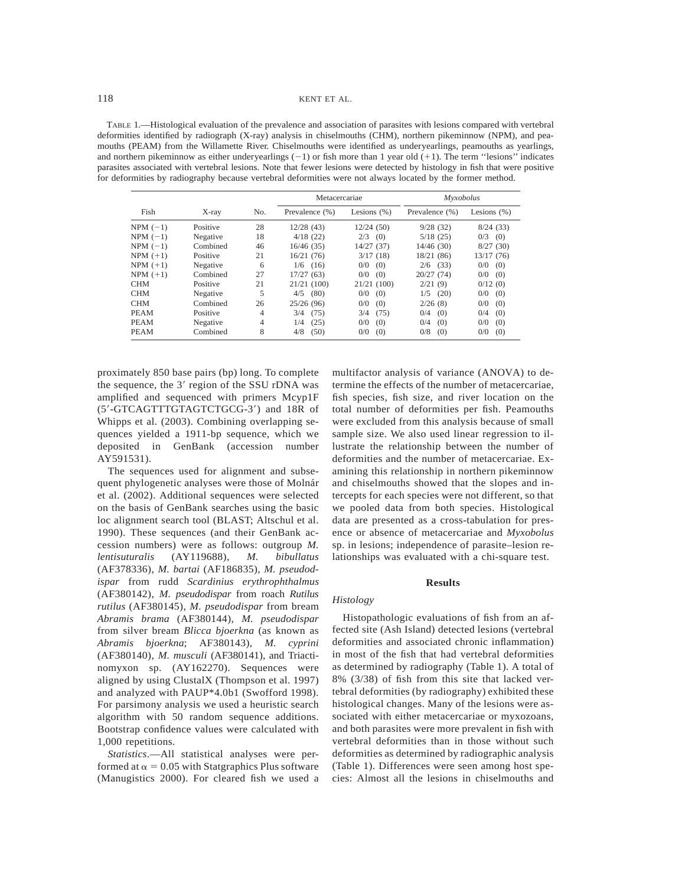TABLE 1.—Histological evaluation of the prevalence and association of parasites with lesions compared with vertebral deformities identified by radiograph (X-ray) analysis in chiselmouths (CHM), northern pikeminnow (NPM), and peamouths (PEAM) from the Willamette River. Chiselmouths were identified as underyearlings, peamouths as yearlings, and northern pikeminnow as either undery earlings  $(-1)$  or fish more than 1 year old  $(+1)$ . The term "lesions" indicates parasites associated with vertebral lesions. Note that fewer lesions were detected by histology in fish that were positive for deformities by radiography because vertebral deformities were not always located by the former method.

|             |          |     | Metacercariae  |                | <b>Myxobolus</b> |                |
|-------------|----------|-----|----------------|----------------|------------------|----------------|
| Fish        | $X$ -ray | No. | Prevalence (%) | Lesions $(\%)$ | Prevalence (%)   | Lesions $(\%)$ |
| $NPM (-1)$  | Positive | 28  | 12/28(43)      | 12/24(50)      | 9/28(32)         | 8/24(33)       |
| $NPM (-1)$  | Negative | 18  | 4/18(22)       | 2/3<br>(0)     | 5/18(25)         | 0/3<br>(0)     |
| $NPM (-1)$  | Combined | 46  | 16/46(35)      | 14/27 (37)     | 14/46(30)        | 8/27(30)       |
| $NPM (+1)$  | Positive | 21  | 16/21(76)      | 3/17(18)       | 18/21 (86)       | 13/17 (76)     |
| $NPM (+1)$  | Negative | 6   | $1/6$ (16)     | 0/0<br>(0)     | $2/6$ (33)       | 0/0<br>(0)     |
| $NPM (+1)$  | Combined | 27  | 17/27(63)      | 0/0<br>(0)     | 20/27(74)        | 0/0<br>(0)     |
| <b>CHM</b>  | Positive | 21  | 21/21(100)     | 21/21(100)     | 2/21(9)          | 0/12(0)        |
| <b>CHM</b>  | Negative | 5   | 4/5<br>(80)    | 0/0<br>(0)     | (20)<br>1/5      | 0/0<br>(0)     |
| <b>CHM</b>  | Combined | 26  | 25/26(96)      | 0/0<br>(0)     | 2/26(8)          | 0/0<br>(0)     |
| <b>PEAM</b> | Positive | 4   | 3/4<br>(75)    | (75)<br>3/4    | 0/4<br>(0)       | 0/4<br>(0)     |
| <b>PEAM</b> | Negative | 4   | (25)<br>1/4    | 0/0<br>(0)     | (0)<br>0/4       | 0/0<br>(0)     |
| <b>PEAM</b> | Combined | 8   | 4/8<br>(50)    | 0/0<br>(0)     | 0/8<br>(0)       | 0/0<br>(0)     |

proximately 850 base pairs (bp) long. To complete the sequence, the  $3'$  region of the SSU rDNA was amplified and sequenced with primers Mcyp1F (5'-GTCAGTTTGTAGTCTGCG-3') and 18R of Whipps et al. (2003). Combining overlapping sequences yielded a 1911-bp sequence, which we deposited in GenBank (accession number AY591531).

The sequences used for alignment and subsequent phylogenetic analyses were those of Molnár et al. (2002). Additional sequences were selected on the basis of GenBank searches using the basic loc alignment search tool (BLAST; Altschul et al. 1990). These sequences (and their GenBank accession numbers) were as follows: outgroup *M. lentisuturalis* (AY119688), *M. bibullatus* (AF378336), *M. bartai* (AF186835), *M. pseudodispar* from rudd *Scardinius erythrophthalmus* (AF380142), *M. pseudodispar* from roach *Rutilus rutilus* (AF380145), *M. pseudodispar* from bream *Abramis brama* (AF380144), *M. pseudodispar* from silver bream *Blicca bjoerkna* (as known as *Abramis bjoerkna*; AF380143), *M. cyprini* (AF380140), *M. musculi* (AF380141), and Triactinomyxon sp. (AY162270). Sequences were aligned by using ClustalX (Thompson et al. 1997) and analyzed with PAUP\*4.0b1 (Swofford 1998). For parsimony analysis we used a heuristic search algorithm with 50 random sequence additions. Bootstrap confidence values were calculated with 1,000 repetitions.

*Statistics*.—All statistical analyses were performed at  $\alpha$  = 0.05 with Statgraphics Plus software (Manugistics 2000). For cleared fish we used a

multifactor analysis of variance (ANOVA) to determine the effects of the number of metacercariae, fish species, fish size, and river location on the total number of deformities per fish. Peamouths were excluded from this analysis because of small sample size. We also used linear regression to illustrate the relationship between the number of deformities and the number of metacercariae. Examining this relationship in northern pikeminnow and chiselmouths showed that the slopes and intercepts for each species were not different, so that we pooled data from both species. Histological data are presented as a cross-tabulation for presence or absence of metacercariae and *Myxobolus* sp. in lesions; independence of parasite–lesion relationships was evaluated with a chi-square test.

## **Results**

## *Histology*

Histopathologic evaluations of fish from an affected site (Ash Island) detected lesions (vertebral deformities and associated chronic inflammation) in most of the fish that had vertebral deformities as determined by radiography (Table 1). A total of 8% (3/38) of fish from this site that lacked vertebral deformities (by radiography) exhibited these histological changes. Many of the lesions were associated with either metacercariae or myxozoans, and both parasites were more prevalent in fish with vertebral deformities than in those without such deformities as determined by radiographic analysis (Table 1). Differences were seen among host species: Almost all the lesions in chiselmouths and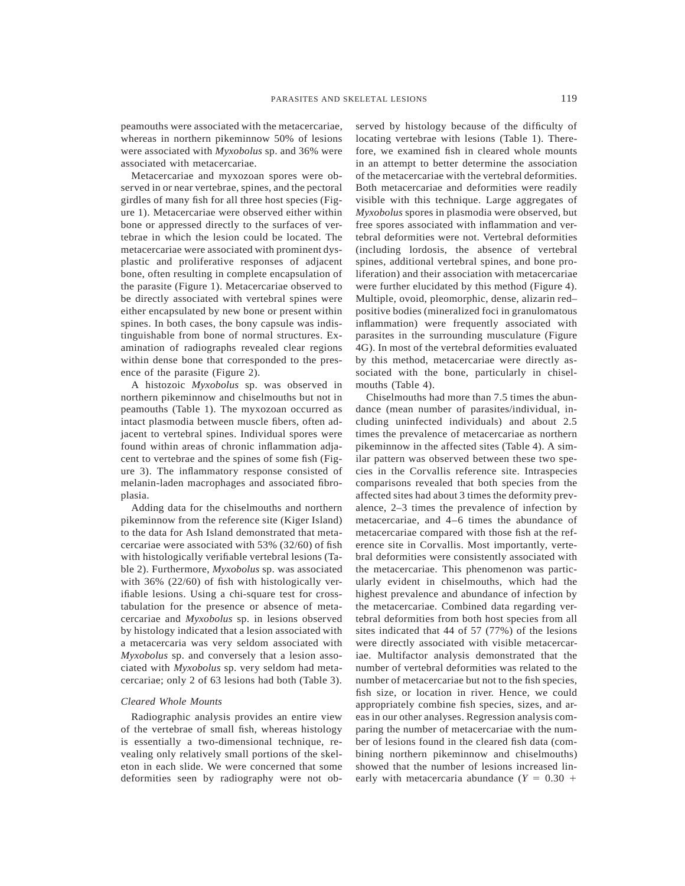peamouths were associated with the metacercariae, whereas in northern pikeminnow 50% of lesions were associated with *Myxobolus* sp. and 36% were associated with metacercariae.

Metacercariae and myxozoan spores were observed in or near vertebrae, spines, and the pectoral girdles of many fish for all three host species (Figure 1). Metacercariae were observed either within bone or appressed directly to the surfaces of vertebrae in which the lesion could be located. The metacercariae were associated with prominent dysplastic and proliferative responses of adjacent bone, often resulting in complete encapsulation of the parasite (Figure 1). Metacercariae observed to be directly associated with vertebral spines were either encapsulated by new bone or present within spines. In both cases, the bony capsule was indistinguishable from bone of normal structures. Examination of radiographs revealed clear regions within dense bone that corresponded to the presence of the parasite (Figure 2).

A histozoic *Myxobolus* sp. was observed in northern pikeminnow and chiselmouths but not in peamouths (Table 1). The myxozoan occurred as intact plasmodia between muscle fibers, often adjacent to vertebral spines. Individual spores were found within areas of chronic inflammation adjacent to vertebrae and the spines of some fish (Figure 3). The inflammatory response consisted of melanin-laden macrophages and associated fibroplasia.

Adding data for the chiselmouths and northern pikeminnow from the reference site (Kiger Island) to the data for Ash Island demonstrated that metacercariae were associated with 53% (32/60) of fish with histologically verifiable vertebral lesions (Table 2). Furthermore, *Myxobolus* sp. was associated with 36% (22/60) of fish with histologically verifiable lesions. Using a chi-square test for crosstabulation for the presence or absence of metacercariae and *Myxobolus* sp. in lesions observed by histology indicated that a lesion associated with a metacercaria was very seldom associated with *Myxobolus* sp. and conversely that a lesion associated with *Myxobolus* sp. very seldom had metacercariae; only 2 of 63 lesions had both (Table 3).

#### *Cleared Whole Mounts*

Radiographic analysis provides an entire view of the vertebrae of small fish, whereas histology is essentially a two-dimensional technique, revealing only relatively small portions of the skeleton in each slide. We were concerned that some deformities seen by radiography were not observed by histology because of the difficulty of locating vertebrae with lesions (Table 1). Therefore, we examined fish in cleared whole mounts in an attempt to better determine the association of the metacercariae with the vertebral deformities. Both metacercariae and deformities were readily visible with this technique. Large aggregates of *Myxobolus* spores in plasmodia were observed, but free spores associated with inflammation and vertebral deformities were not. Vertebral deformities (including lordosis, the absence of vertebral spines, additional vertebral spines, and bone proliferation) and their association with metacercariae were further elucidated by this method (Figure 4). Multiple, ovoid, pleomorphic, dense, alizarin red– positive bodies (mineralized foci in granulomatous inflammation) were frequently associated with parasites in the surrounding musculature (Figure 4G). In most of the vertebral deformities evaluated by this method, metacercariae were directly associated with the bone, particularly in chiselmouths (Table 4).

Chiselmouths had more than 7.5 times the abundance (mean number of parasites/individual, including uninfected individuals) and about 2.5 times the prevalence of metacercariae as northern pikeminnow in the affected sites (Table 4). A similar pattern was observed between these two species in the Corvallis reference site. Intraspecies comparisons revealed that both species from the affected sites had about 3 times the deformity prevalence, 2–3 times the prevalence of infection by metacercariae, and 4–6 times the abundance of metacercariae compared with those fish at the reference site in Corvallis. Most importantly, vertebral deformities were consistently associated with the metacercariae. This phenomenon was particularly evident in chiselmouths, which had the highest prevalence and abundance of infection by the metacercariae. Combined data regarding vertebral deformities from both host species from all sites indicated that 44 of 57 (77%) of the lesions were directly associated with visible metacercariae. Multifactor analysis demonstrated that the number of vertebral deformities was related to the number of metacercariae but not to the fish species, fish size, or location in river. Hence, we could appropriately combine fish species, sizes, and areas in our other analyses. Regression analysis comparing the number of metacercariae with the number of lesions found in the cleared fish data (combining northern pikeminnow and chiselmouths) showed that the number of lesions increased linearly with metacercaria abundance  $(Y = 0.30 +$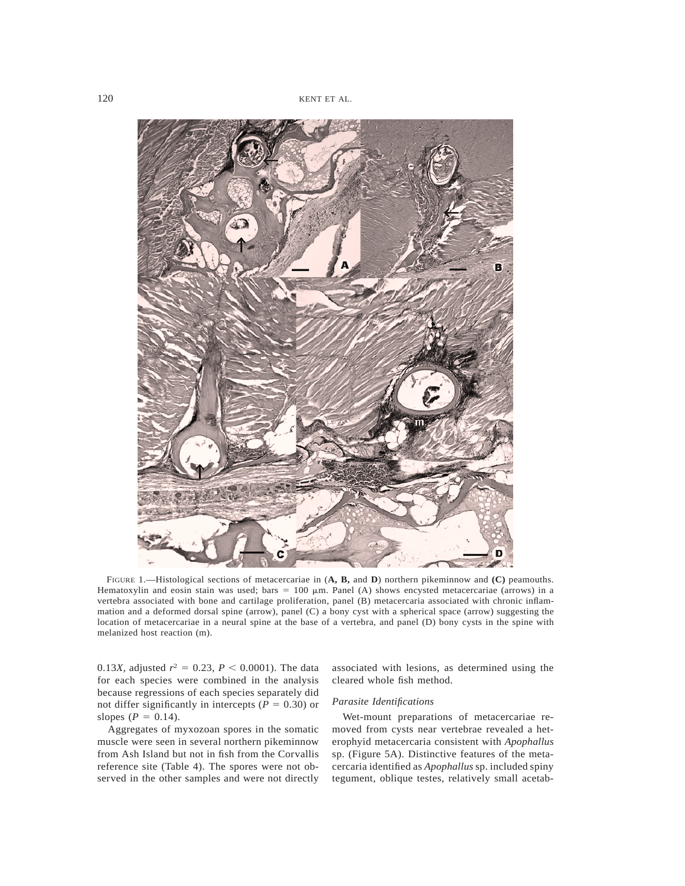

FIGURE 1.—Histological sections of metacercariae in (**A, B,** and **D**) northern pikeminnow and **(C)** peamouths. Hematoxylin and eosin stain was used; bars = 100  $\mu$ m. Panel (A) shows encysted metacercariae (arrows) in a vertebra associated with bone and cartilage proliferation, panel (B) metacercaria associated with chronic inflammation and a deformed dorsal spine (arrow), panel (C) a bony cyst with a spherical space (arrow) suggesting the location of metacercariae in a neural spine at the base of a vertebra, and panel (D) bony cysts in the spine with melanized host reaction (m).

0.13*X*, adjusted  $r^2 = 0.23$ ,  $P < 0.0001$ ). The data for each species were combined in the analysis because regressions of each species separately did not differ significantly in intercepts ( $P = 0.30$ ) or slopes ( $P = 0.14$ ).

Aggregates of myxozoan spores in the somatic muscle were seen in several northern pikeminnow from Ash Island but not in fish from the Corvallis reference site (Table 4). The spores were not observed in the other samples and were not directly associated with lesions, as determined using the cleared whole fish method.

## *Parasite Identifications*

Wet-mount preparations of metacercariae removed from cysts near vertebrae revealed a heterophyid metacercaria consistent with *Apophallus* sp. (Figure 5A). Distinctive features of the metacercaria identified as *Apophallus* sp. included spiny tegument, oblique testes, relatively small acetab-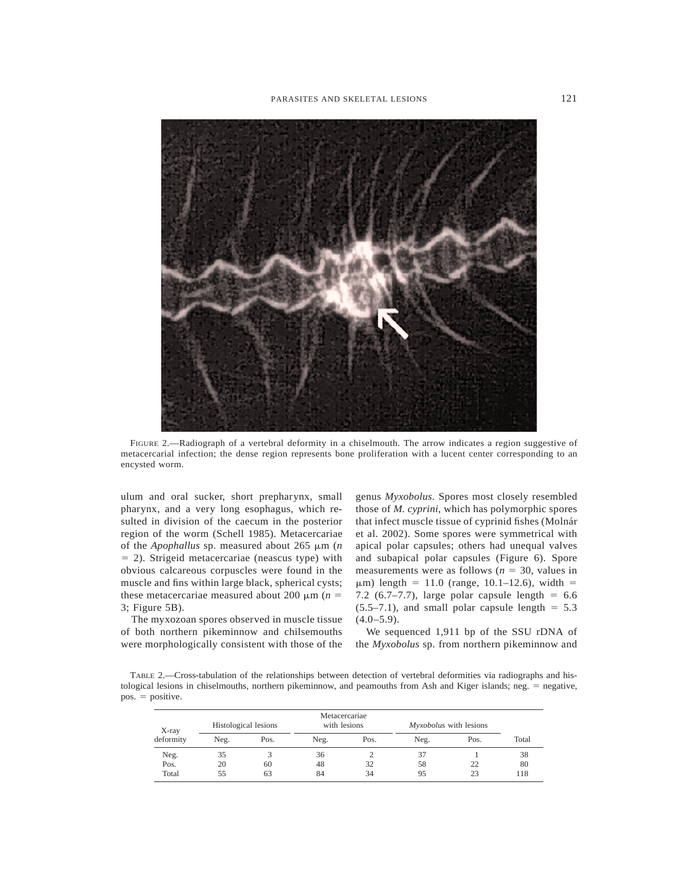

FIGURE 2.—Radiograph of a vertebral deformity in a chiselmouth. The arrow indicates a region suggestive of metacercarial infection; the dense region represents bone proliferation with a lucent center corresponding to an encysted worm.

ulum and oral sucker, short prepharynx, small pharynx, and a very long esophagus, which resulted in division of the caecum in the posterior region of the worm (Schell 1985). Metacercariae of the *Apophallus* sp. measured about 265 μm (*n*  $= 2$ ). Strigeid metacercariae (neascus type) with obvious calcareous corpuscles were found in the muscle and fins within large black, spherical cysts; these metacercariae measured about 200  $\mu$ m (*n* = 3; Figure 5B).

The myxozoan spores observed in muscle tissue of both northern pikeminnow and chilsemouths were morphologically consistent with those of the

genus *Myxobolus*. Spores most closely resembled those of *M. cyprini*, which has polymorphic spores that infect muscle tissue of cyprinid fishes (Molnár et al. 2002). Some spores were symmetrical with apical polar capsules; others had unequal valves and subapical polar capsules (Figure 6). Spore measurements were as follows ( $n = 30$ , values in  $\mu$ m) length = 11.0 (range, 10.1–12.6), width = 7.2 (6.7–7.7), large polar capsule length  $= 6.6$  $(5.5-7.1)$ , and small polar capsule length = 5.3  $(4.0 - 5.9)$ .

We sequenced 1,911 bp of the SSU rDNA of the *Myxobolus* sp. from northern pikeminnow and

TABLE 2.—Cross-tabulation of the relationships between detection of vertebral deformities via radiographs and histological lesions in chiselmouths, northern pikeminnow, and peamouths from Ash and Kiger islands; neg.  $=$  negative,  $pos. = positive.$ 

| $X$ -ray  | Histological lesions |      | Metacercariae<br>with lesions |      | Myxobolus with lesions |      |       |
|-----------|----------------------|------|-------------------------------|------|------------------------|------|-------|
| deformity | Neg.                 | Pos. | Neg.                          | Pos. | Neg.                   | Pos. | Total |
| Neg.      | 35                   |      | 36                            |      | 37                     |      | 38    |
| Pos.      | 20                   | 60   | 48                            | 32   | 58                     | 22   | 80    |
| Total     | 55                   | 63   | 84                            | 34   | 95                     | 23   | 118   |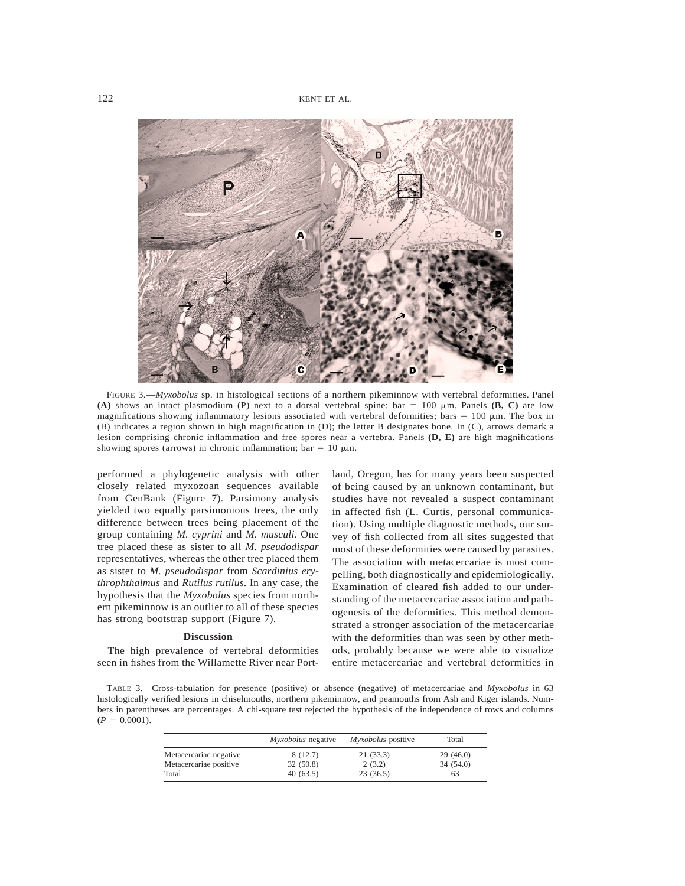

FIGURE 3.—*Myxobolus* sp. in histological sections of a northern pikeminnow with vertebral deformities. Panel **(A)** shows an intact plasmodium (P) next to a dorsal vertebral spine; bar = 100  $\mu$ m. Panels **(B, C)** are low magnifications showing inflammatory lesions associated with vertebral deformities; bars = 100  $\mu$ m. The box in (B) indicates a region shown in high magnification in (D); the letter B designates bone. In (C), arrows demark a lesion comprising chronic inflammation and free spores near a vertebra. Panels **(D, E)** are high magnifications showing spores (arrows) in chronic inflammation; bar = 10  $\mu$ m.

performed a phylogenetic analysis with other closely related myxozoan sequences available from GenBank (Figure 7). Parsimony analysis yielded two equally parsimonious trees, the only difference between trees being placement of the group containing *M. cyprini* and *M. musculi*. One tree placed these as sister to all *M. pseudodispar* representatives, whereas the other tree placed them as sister to *M. pseudodispar* from *Scardinius erythrophthalmus* and *Rutilus rutilus*. In any case, the hypothesis that the *Myxobolus* species from northern pikeminnow is an outlier to all of these species has strong bootstrap support (Figure 7).

#### **Discussion**

The high prevalence of vertebral deformities seen in fishes from the Willamette River near Port-

land, Oregon, has for many years been suspected of being caused by an unknown contaminant, but studies have not revealed a suspect contaminant in affected fish (L. Curtis, personal communication). Using multiple diagnostic methods, our survey of fish collected from all sites suggested that most of these deformities were caused by parasites. The association with metacercariae is most compelling, both diagnostically and epidemiologically. Examination of cleared fish added to our understanding of the metacercariae association and pathogenesis of the deformities. This method demonstrated a stronger association of the metacercariae with the deformities than was seen by other methods, probably because we were able to visualize entire metacercariae and vertebral deformities in

TABLE 3.—Cross-tabulation for presence (positive) or absence (negative) of metacercariae and *Myxobolus* in 63 histologically verified lesions in chiselmouths, northern pikeminnow, and peamouths from Ash and Kiger islands. Numbers in parentheses are percentages. A chi-square test rejected the hypothesis of the independence of rows and columns  $(P = 0.0001)$ .

|                        | <i>Myxobolus</i> negative | <i>Myxobolus</i> positive | Total    |
|------------------------|---------------------------|---------------------------|----------|
| Metacercariae negative | 8(12.7)                   | 21(33.3)                  | 29(46.0) |
| Metacercariae positive | 32(50.8)                  | 2(3.2)                    | 34(54.0) |
| Total                  | 40(63.5)                  | 23(36.5)                  | 63       |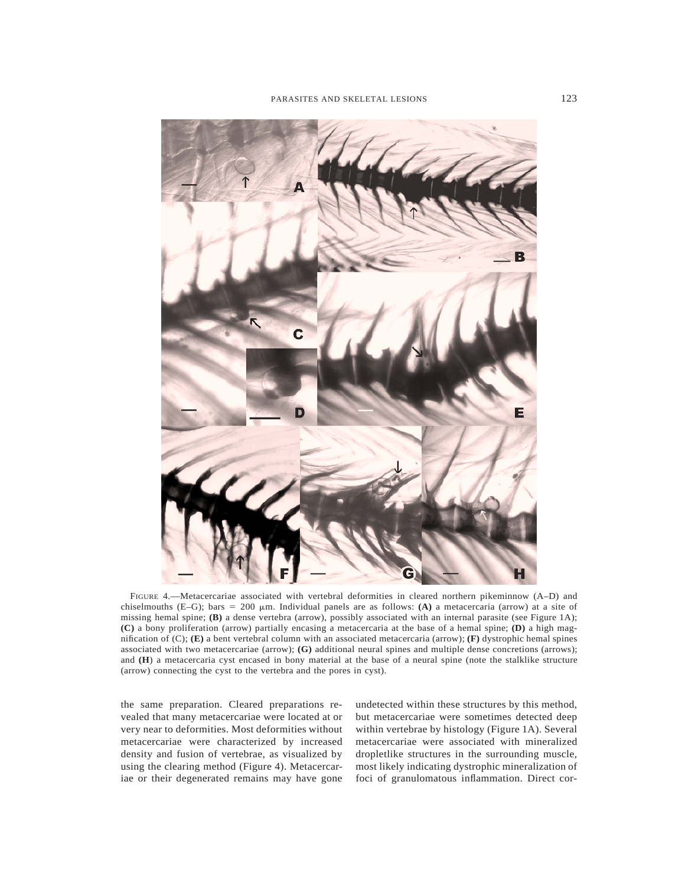

FIGURE 4.—Metacercariae associated with vertebral deformities in cleared northern pikeminnow (A–D) and chiselmouths (E–G); bars = 200  $\mu$ m. Individual panels are as follows: **(A)** a metacercaria (arrow) at a site of missing hemal spine; **(B)** a dense vertebra (arrow), possibly associated with an internal parasite (see Figure 1A); **(C)** a bony proliferation (arrow) partially encasing a metacercaria at the base of a hemal spine; **(D)** a high magnification of (C); **(E)** a bent vertebral column with an associated metacercaria (arrow); **(F)** dystrophic hemal spines associated with two metacercariae (arrow); **(G)** additional neural spines and multiple dense concretions (arrows); and **(H**) a metacercaria cyst encased in bony material at the base of a neural spine (note the stalklike structure (arrow) connecting the cyst to the vertebra and the pores in cyst).

the same preparation. Cleared preparations revealed that many metacercariae were located at or very near to deformities. Most deformities without metacercariae were characterized by increased density and fusion of vertebrae, as visualized by using the clearing method (Figure 4). Metacercariae or their degenerated remains may have gone undetected within these structures by this method, but metacercariae were sometimes detected deep within vertebrae by histology (Figure 1A). Several metacercariae were associated with mineralized dropletlike structures in the surrounding muscle, most likely indicating dystrophic mineralization of foci of granulomatous inflammation. Direct cor-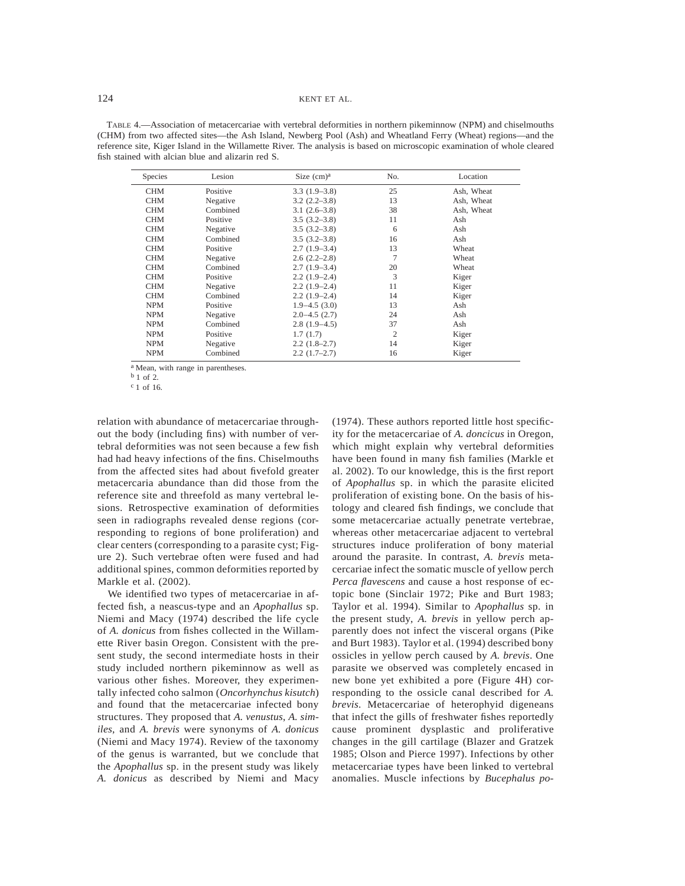TABLE 4.—Association of metacercariae with vertebral deformities in northern pikeminnow (NPM) and chiselmouths (CHM) from two affected sites—the Ash Island, Newberg Pool (Ash) and Wheatland Ferry (Wheat) regions—and the reference site, Kiger Island in the Willamette River. The analysis is based on microscopic examination of whole cleared fish stained with alcian blue and alizarin red S.

| <b>Species</b> | Lesion   | Size $(cm)a$      | No.            | Location   |
|----------------|----------|-------------------|----------------|------------|
| <b>CHM</b>     | Positive | $3.3(1.9-3.8)$    | 25             | Ash, Wheat |
| <b>CHM</b>     | Negative | $3.2(2.2 - 3.8)$  | 13             | Ash, Wheat |
| <b>CHM</b>     | Combined | $3.1(2.6-3.8)$    | 38             | Ash, Wheat |
| <b>CHM</b>     | Positive | $3.5(3.2 - 3.8)$  | 11             | Ash        |
| <b>CHM</b>     | Negative | $3.5(3.2 - 3.8)$  | 6              | Ash        |
| <b>CHM</b>     | Combined | $3.5(3.2 - 3.8)$  | 16             | Ash        |
| <b>CHM</b>     | Positive | $2.7(1.9-3.4)$    | 13             | Wheat      |
| <b>CHM</b>     | Negative | $2.6(2.2-2.8)$    | 7              | Wheat      |
| <b>CHM</b>     | Combined | $2.7(1.9-3.4)$    | 20             | Wheat      |
| <b>CHM</b>     | Positive | $2.2(1.9-2.4)$    | 3              | Kiger      |
| <b>CHM</b>     | Negative | $2.2(1.9-2.4)$    | 11             | Kiger      |
| <b>CHM</b>     | Combined | $2.2(1.9-2.4)$    | 14             | Kiger      |
| <b>NPM</b>     | Positive | $1.9 - 4.5(3.0)$  | 13             | Ash        |
| <b>NPM</b>     | Negative | $2.0 - 4.5$ (2.7) | 24             | Ash        |
| <b>NPM</b>     | Combined | $2.8(1.9-4.5)$    | 37             | Ash        |
| <b>NPM</b>     | Positive | 1.7(1.7)          | $\overline{2}$ | Kiger      |
| <b>NPM</b>     | Negative | $2.2(1.8-2.7)$    | 14             | Kiger      |
| <b>NPM</b>     | Combined | $2.2(1.7-2.7)$    | 16             | Kiger      |

a Mean, with range in parentheses.

relation with abundance of metacercariae throughout the body (including fins) with number of vertebral deformities was not seen because a few fish had had heavy infections of the fins. Chiselmouths from the affected sites had about fivefold greater metacercaria abundance than did those from the reference site and threefold as many vertebral lesions. Retrospective examination of deformities seen in radiographs revealed dense regions (corresponding to regions of bone proliferation) and clear centers (corresponding to a parasite cyst; Figure 2). Such vertebrae often were fused and had additional spines, common deformities reported by Markle et al. (2002).

We identified two types of metacercariae in affected fish, a neascus-type and an *Apophallus* sp. Niemi and Macy (1974) described the life cycle of *A. donicus* from fishes collected in the Willamette River basin Oregon. Consistent with the present study, the second intermediate hosts in their study included northern pikeminnow as well as various other fishes. Moreover, they experimentally infected coho salmon (*Oncorhynchus kisutch*) and found that the metacercariae infected bony structures. They proposed that *A. venustus*, *A. similes*, and *A. brevis* were synonyms of *A. donicus* (Niemi and Macy 1974). Review of the taxonomy of the genus is warranted, but we conclude that the *Apophallus* sp. in the present study was likely *A. donicus* as described by Niemi and Macy (1974). These authors reported little host specificity for the metacercariae of *A. doncicus* in Oregon, which might explain why vertebral deformities have been found in many fish families (Markle et al. 2002). To our knowledge, this is the first report of *Apophallus* sp. in which the parasite elicited proliferation of existing bone. On the basis of histology and cleared fish findings, we conclude that some metacercariae actually penetrate vertebrae, whereas other metacercariae adjacent to vertebral structures induce proliferation of bony material around the parasite. In contrast, *A. brevis* metacercariae infect the somatic muscle of yellow perch *Perca flavescens* and cause a host response of ectopic bone (Sinclair 1972; Pike and Burt 1983; Taylor et al. 1994). Similar to *Apophallus* sp. in the present study, *A. brevis* in yellow perch apparently does not infect the visceral organs (Pike and Burt 1983). Taylor et al. (1994) described bony ossicles in yellow perch caused by *A. brevis*. One parasite we observed was completely encased in new bone yet exhibited a pore (Figure 4H) corresponding to the ossicle canal described for *A. brevis*. Metacercariae of heterophyid digeneans that infect the gills of freshwater fishes reportedly cause prominent dysplastic and proliferative changes in the gill cartilage (Blazer and Gratzek 1985; Olson and Pierce 1997). Infections by other metacercariae types have been linked to vertebral anomalies. Muscle infections by *Bucephalus po-*

b 1 of 2.

c 1 of 16.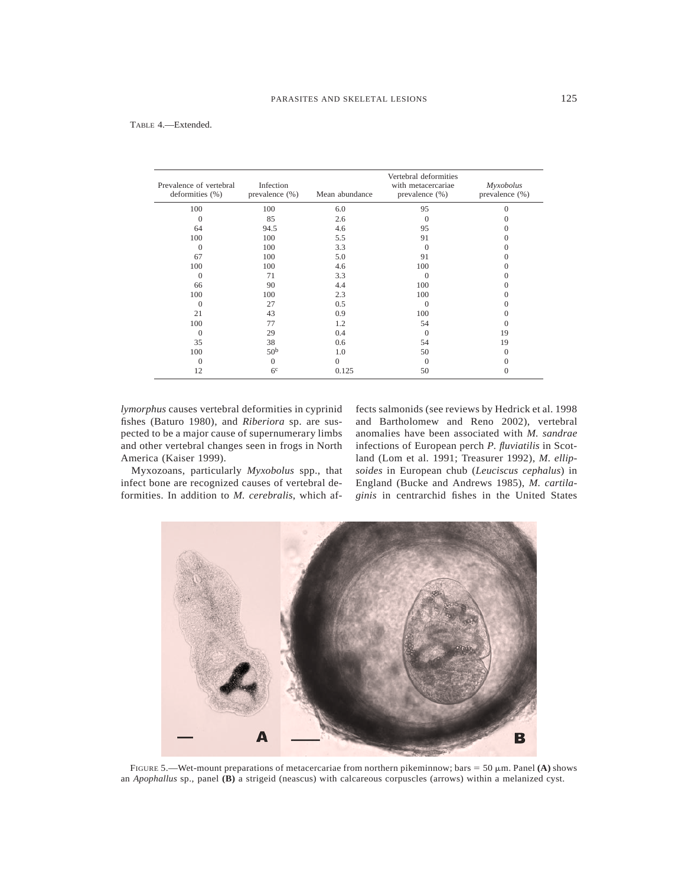| Prevalence of vertebral<br>deformities (%) | Infection<br>prevalence (%) | Mean abundance | Vertebral deformities<br>with metacercariae<br>prevalence (%) | Myxobolus<br>prevalence (%) |
|--------------------------------------------|-----------------------------|----------------|---------------------------------------------------------------|-----------------------------|
| 100                                        | 100                         | 6.0            | 95                                                            | $\Omega$                    |
| $\Omega$                                   | 85                          | 2.6            | $\Omega$                                                      |                             |
| 64                                         | 94.5                        | 4.6            | 95                                                            |                             |
| 100                                        | 100                         | 5.5            | 91                                                            |                             |
| $\Omega$                                   | 100                         | 3.3            | $\Omega$                                                      |                             |
| 67                                         | 100                         | 5.0            | 91                                                            |                             |
| 100                                        | 100                         | 4.6            | 100                                                           |                             |
| $\Omega$                                   | 71                          | 3.3            | $\Omega$                                                      |                             |
| 66                                         | 90                          | 4.4            | 100                                                           |                             |
| 100                                        | 100                         | 2.3            | 100                                                           |                             |
| $\Omega$                                   | 27                          | 0.5            | $\Omega$                                                      |                             |
| 21                                         | 43                          | 0.9            | 100                                                           |                             |
| 100                                        | 77                          | 1.2            | 54                                                            | $\left($                    |
| $\Omega$                                   | 29                          | 0.4            | $\Omega$                                                      | 19                          |
| 35                                         | 38                          | 0.6            | 54                                                            | 19                          |
| 100                                        | 50 <sup>b</sup>             | 1.0            | 50                                                            | $\Omega$                    |
| $\Omega$                                   | $\Omega$                    | $\Omega$       | $\Omega$                                                      | $\Omega$                    |
| 12                                         | 6 <sup>c</sup>              | 0.125          | 50                                                            | $\Omega$                    |

*lymorphus* causes vertebral deformities in cyprinid fishes (Baturo 1980), and *Riberiora* sp. are suspected to be a major cause of supernumerary limbs and other vertebral changes seen in frogs in North America (Kaiser 1999).

Myxozoans, particularly *Myxobolus* spp., that infect bone are recognized causes of vertebral deformities. In addition to *M. cerebralis*, which affects salmonids (see reviews by Hedrick et al. 1998 and Bartholomew and Reno 2002), vertebral anomalies have been associated with *M. sandrae* infections of European perch *P. fluviatilis* in Scotland (Lom et al. 1991; Treasurer 1992), *M. ellipsoides* in European chub (*Leuciscus cephalus*) in England (Bucke and Andrews 1985), *M. cartilaginis* in centrarchid fishes in the United States



FIGURE 5.—Wet-mount preparations of metacercariae from northern pikeminnow; bars = 50  $\mu$ m. Panel **(A)** shows an *Apophallus* sp., panel **(B)** a strigeid (neascus) with calcareous corpuscles (arrows) within a melanized cyst.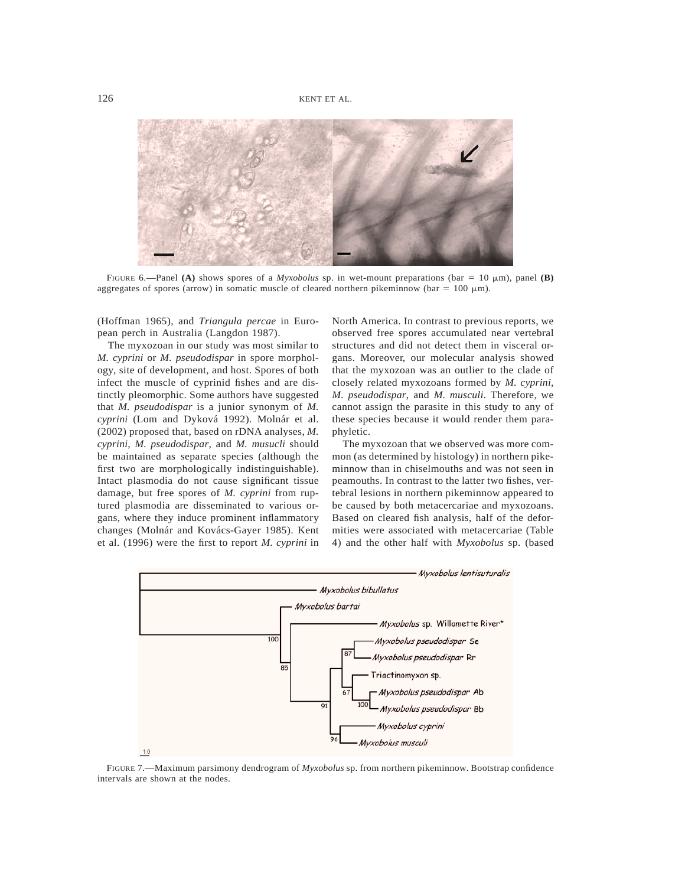

FIGURE 6.—Panel **(A)** shows spores of a *Myxobolus* sp. in wet-mount preparations (bar = 10  $\mu$ m), panel **(B)** aggregates of spores (arrow) in somatic muscle of cleared northern pikeminnow (bar =  $100 \mu m$ ).

(Hoffman 1965), and *Triangula percae* in European perch in Australia (Langdon 1987).

The myxozoan in our study was most similar to *M. cyprini* or *M. pseudodispar* in spore morphology, site of development, and host. Spores of both infect the muscle of cyprinid fishes and are distinctly pleomorphic. Some authors have suggested that *M. pseudodispar* is a junior synonym of *M. cyprini* (Lom and Dyková 1992). Molnár et al. (2002) proposed that, based on rDNA analyses, *M. cyprini*, *M. pseudodispar*, and *M. musucli* should be maintained as separate species (although the first two are morphologically indistinguishable). Intact plasmodia do not cause significant tissue damage, but free spores of *M. cyprini* from ruptured plasmodia are disseminated to various organs, where they induce prominent inflammatory changes (Molnár and Kovács-Gayer 1985). Kent et al. (1996) were the first to report *M. cyprini* in

North America. In contrast to previous reports, we observed free spores accumulated near vertebral structures and did not detect them in visceral organs. Moreover, our molecular analysis showed that the myxozoan was an outlier to the clade of closely related myxozoans formed by *M. cyprini*, *M. pseudodispar*, and *M. musculi*. Therefore, we cannot assign the parasite in this study to any of these species because it would render them paraphyletic.

The myxozoan that we observed was more common (as determined by histology) in northern pikeminnow than in chiselmouths and was not seen in peamouths. In contrast to the latter two fishes, vertebral lesions in northern pikeminnow appeared to be caused by both metacercariae and myxozoans. Based on cleared fish analysis, half of the deformities were associated with metacercariae (Table 4) and the other half with *Myxobolus* sp. (based



FIGURE 7.—Maximum parsimony dendrogram of *Myxobolus* sp. from northern pikeminnow. Bootstrap confidence intervals are shown at the nodes.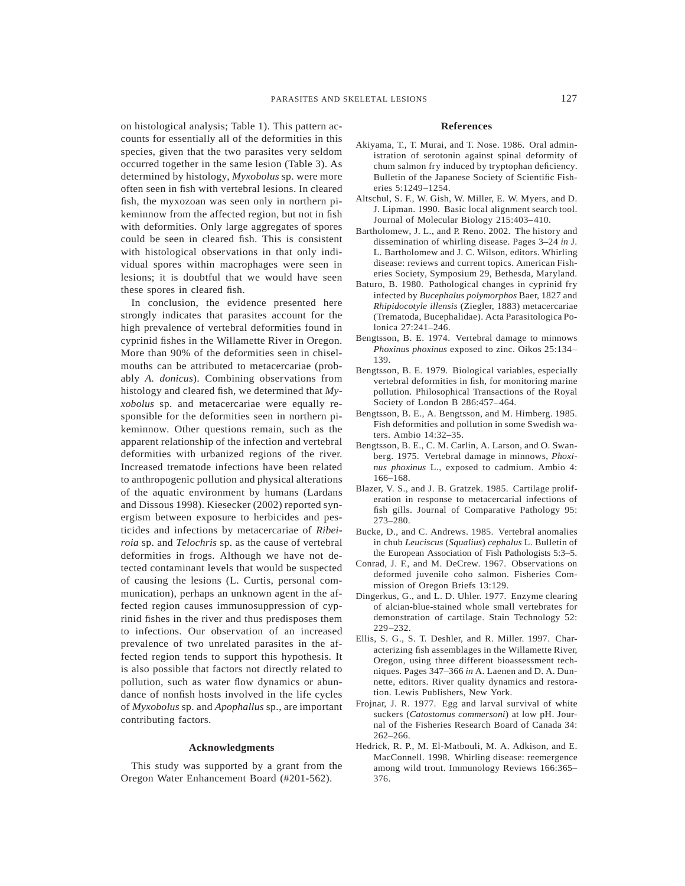on histological analysis; Table 1). This pattern accounts for essentially all of the deformities in this species, given that the two parasites very seldom occurred together in the same lesion (Table 3). As determined by histology, *Myxobolus* sp. were more often seen in fish with vertebral lesions. In cleared fish, the myxozoan was seen only in northern pikeminnow from the affected region, but not in fish with deformities. Only large aggregates of spores could be seen in cleared fish. This is consistent with histological observations in that only individual spores within macrophages were seen in lesions; it is doubtful that we would have seen these spores in cleared fish.

In conclusion, the evidence presented here strongly indicates that parasites account for the high prevalence of vertebral deformities found in cyprinid fishes in the Willamette River in Oregon. More than 90% of the deformities seen in chiselmouths can be attributed to metacercariae (probably *A. donicus*). Combining observations from histology and cleared fish, we determined that *Myxobolus* sp. and metacercariae were equally responsible for the deformities seen in northern pikeminnow. Other questions remain, such as the apparent relationship of the infection and vertebral deformities with urbanized regions of the river. Increased trematode infections have been related to anthropogenic pollution and physical alterations of the aquatic environment by humans (Lardans and Dissous 1998). Kiesecker (2002) reported synergism between exposure to herbicides and pesticides and infections by metacercariae of *Ribeiroia* sp. and *Telochris* sp. as the cause of vertebral deformities in frogs. Although we have not detected contaminant levels that would be suspected of causing the lesions (L. Curtis, personal communication), perhaps an unknown agent in the affected region causes immunosuppression of cyprinid fishes in the river and thus predisposes them to infections. Our observation of an increased prevalence of two unrelated parasites in the affected region tends to support this hypothesis. It is also possible that factors not directly related to pollution, such as water flow dynamics or abundance of nonfish hosts involved in the life cycles of *Myxobolus* sp. and *Apophallus* sp., are important contributing factors.

#### **Acknowledgments**

This study was supported by a grant from the Oregon Water Enhancement Board (#201-562).

#### **References**

- Akiyama, T., T. Murai, and T. Nose. 1986. Oral administration of serotonin against spinal deformity of chum salmon fry induced by tryptophan deficiency. Bulletin of the Japanese Society of Scientific Fisheries 5:1249–1254.
- Altschul, S. F., W. Gish, W. Miller, E. W. Myers, and D. J. Lipman. 1990. Basic local alignment search tool. Journal of Molecular Biology 215:403–410.
- Bartholomew, J. L., and P. Reno. 2002. The history and dissemination of whirling disease. Pages 3–24 *in* J. L. Bartholomew and J. C. Wilson, editors. Whirling disease: reviews and current topics. American Fisheries Society, Symposium 29, Bethesda, Maryland.
- Baturo, B. 1980. Pathological changes in cyprinid fry infected by *Bucephalus polymorphos* Baer, 1827 and *Rhipidocotyle illensis* (Ziegler, 1883) metacercariae (Trematoda, Bucephalidae). Acta Parasitologica Polonica 27:241–246.
- Bengtsson, B. E. 1974. Vertebral damage to minnows *Phoxinus phoxinus* exposed to zinc. Oikos 25:134– 139.
- Bengtsson, B. E. 1979. Biological variables, especially vertebral deformities in fish, for monitoring marine pollution. Philosophical Transactions of the Royal Society of London B 286:457–464.
- Bengtsson, B. E., A. Bengtsson, and M. Himberg. 1985. Fish deformities and pollution in some Swedish waters. Ambio 14:32–35.
- Bengtsson, B. E., C. M. Carlin, A. Larson, and O. Swanberg. 1975. Vertebral damage in minnows, *Phoxinus phoxinus* L., exposed to cadmium. Ambio 4: 166–168.
- Blazer, V. S., and J. B. Gratzek. 1985. Cartilage proliferation in response to metacercarial infections of fish gills. Journal of Comparative Pathology 95: 273–280.
- Bucke, D., and C. Andrews. 1985. Vertebral anomalies in chub *Leuciscus* (*Squalius*) *cephalus* L. Bulletin of the European Association of Fish Pathologists 5:3–5.
- Conrad, J. F., and M. DeCrew. 1967. Observations on deformed juvenile coho salmon. Fisheries Commission of Oregon Briefs 13:129.
- Dingerkus, G., and L. D. Uhler. 1977. Enzyme clearing of alcian-blue-stained whole small vertebrates for demonstration of cartilage. Stain Technology 52: 229–232.
- Ellis, S. G., S. T. Deshler, and R. Miller. 1997. Characterizing fish assemblages in the Willamette River, Oregon, using three different bioassessment techniques. Pages 347–366 *in* A. Laenen and D. A. Dunnette, editors. River quality dynamics and restoration. Lewis Publishers, New York.
- Frojnar, J. R. 1977. Egg and larval survival of white suckers (*Catostomus commersoni*) at low pH. Journal of the Fisheries Research Board of Canada 34: 262–266.
- Hedrick, R. P., M. El-Matbouli, M. A. Adkison, and E. MacConnell. 1998. Whirling disease: reemergence among wild trout. Immunology Reviews 166:365– 376.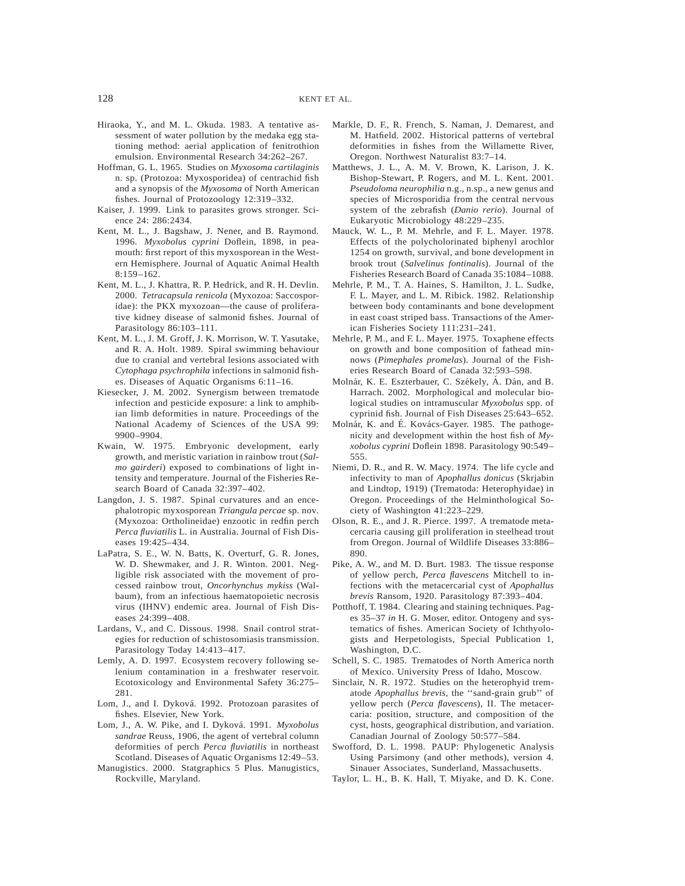- Hiraoka, Y., and M. L. Okuda. 1983. A tentative assessment of water pollution by the medaka egg stationing method: aerial application of fenitrothion emulsion. Environmental Research 34:262–267.
- Hoffman, G. L. 1965. Studies on *Myxosoma cartilaginis* n. sp. (Protozoa: Myxosporidea) of centrachid fish and a synopsis of the *Myxosoma* of North American fishes. Journal of Protozoology 12:319–332.
- Kaiser, J. 1999. Link to parasites grows stronger. Science 24: 286:2434.
- Kent, M. L., J. Bagshaw, J. Nener, and B. Raymond. 1996. *Myxobolus cyprini* Doflein, 1898, in peamouth: first report of this myxosporean in the Western Hemisphere. Journal of Aquatic Animal Health  $8.159 - 162$
- Kent, M. L., J. Khattra, R. P. Hedrick, and R. H. Devlin. 2000. *Tetracapsula renicola* (Myxozoa: Saccosporidae): the PKX myxozoan—the cause of proliferative kidney disease of salmonid fishes. Journal of Parasitology 86:103–111.
- Kent, M. L., J. M. Groff, J. K. Morrison, W. T. Yasutake, and R. A. Holt. 1989. Spiral swimming behaviour due to cranial and vertebral lesions associated with *Cytophaga psychrophila* infections in salmonid fishes. Diseases of Aquatic Organisms 6:11–16.
- Kiesecker, J. M. 2002. Synergism between trematode infection and pesticide exposure: a link to amphibian limb deformities in nature. Proceedings of the National Academy of Sciences of the USA 99: 9900–9904.
- Kwain, W. 1975. Embryonic development, early growth, and meristic variation in rainbow trout (*Salmo gairderi*) exposed to combinations of light intensity and temperature. Journal of the Fisheries Research Board of Canada 32:397–402.
- Langdon, J. S. 1987. Spinal curvatures and an encephalotropic myxosporean *Triangula percae* sp. nov. (Myxozoa: Ortholineidae) enzootic in redfin perch *Perca fluviatilis* L. in Australia. Journal of Fish Diseases 19:425–434.
- LaPatra, S. E., W. N. Batts, K. Overturf, G. R. Jones, W. D. Shewmaker, and J. R. Winton. 2001. Negligible risk associated with the movement of processed rainbow trout, *Oncorhynchus mykiss* (Walbaum), from an infectious haematopoietic necrosis virus (IHNV) endemic area. Journal of Fish Diseases 24:399–408.
- Lardans, V., and C. Dissous. 1998. Snail control strategies for reduction of schistosomiasis transmission. Parasitology Today 14:413–417.
- Lemly, A. D. 1997. Ecosystem recovery following selenium contamination in a freshwater reservoir. Ecotoxicology and Environmental Safety 36:275– 281.
- Lom, J., and I. Dyková. 1992. Protozoan parasites of fishes. Elsevier, New York.
- Lom, J., A. W. Pike, and I. Dykova´. 1991. *Myxobolus sandrae* Reuss, 1906, the agent of vertebral column deformities of perch *Perca fluviatilis* in northeast Scotland. Diseases of Aquatic Organisms 12:49–53.
- Manugistics. 2000. Statgraphics 5 Plus. Manugistics, Rockville, Maryland.
- Markle, D. F., R. French, S. Naman, J. Demarest, and M. Hatfield. 2002. Historical patterns of vertebral deformities in fishes from the Willamette River, Oregon. Northwest Naturalist 83:7–14.
- Matthews, J. L., A. M. V. Brown, K. Larison, J. K. Bishop-Stewart, P. Rogers, and M. L. Kent. 2001. *Pseudoloma neurophilia* n.g., n.sp., a new genus and species of Microsporidia from the central nervous system of the zebrafish (*Danio rerio*). Journal of Eukaryotic Microbiology 48:229–235.
- Mauck, W. L., P. M. Mehrle, and F. L. Mayer. 1978. Effects of the polycholorinated biphenyl arochlor 1254 on growth, survival, and bone development in brook trout (*Salvelinus fontinalis*). Journal of the Fisheries Research Board of Canada 35:1084–1088.
- Mehrle, P. M., T. A. Haines, S. Hamilton, J. L. Sudke, F. L. Mayer, and L. M. Ribick. 1982. Relationship between body contaminants and bone development in east coast striped bass. Transactions of the American Fisheries Society 111:231–241.
- Mehrle, P. M., and F. L. Mayer. 1975. Toxaphene effects on growth and bone composition of fathead minnows (*Pimephales promelas*). Journal of the Fisheries Research Board of Canada 32:593–598.
- Molnár, K. E. Eszterbauer, C. Székely, Á. Dán, and B. Harrach. 2002. Morphological and molecular biological studies on intramuscular *Myxobolus* spp. of cyprinid fish. Journal of Fish Diseases 25:643–652.
- Molnár, K. and É. Kovács-Gayer. 1985. The pathogenicity and development within the host fish of *Myxobolus cyprini* Doflein 1898. Parasitology 90:549– 555.
- Niemi, D. R., and R. W. Macy. 1974. The life cycle and infectivity to man of *Apophallus donicus* (Skrjabin and Lindtop, 1919) (Trematoda: Heterophyidae) in Oregon. Proceedings of the Helminthological Society of Washington 41:223–229.
- Olson, R. E., and J. R. Pierce. 1997. A trematode metacercaria causing gill proliferation in steelhead trout from Oregon. Journal of Wildlife Diseases 33:886– 890.
- Pike, A. W., and M. D. Burt. 1983. The tissue response of yellow perch, *Perca flavescens* Mitchell to infections with the metacercarial cyst of *Apophallus brevis* Ransom, 1920. Parasitology 87:393–404.
- Potthoff, T. 1984. Clearing and staining techniques. Pages 35–37 *in* H. G. Moser, editor. Ontogeny and systematics of fishes. American Society of Ichthyologists and Herpetologists, Special Publication 1, Washington, D.C.
- Schell, S. C. 1985. Trematodes of North America north of Mexico. University Press of Idaho, Moscow.
- Sinclair, N. R. 1972. Studies on the heterophyid trematode *Apophallus brevis*, the ''sand-grain grub'' of yellow perch (*Perca flavescens*), II. The metacercaria: position, structure, and composition of the cyst, hosts, geographical distribution, and variation. Canadian Journal of Zoology 50:577–584.
- Swofford, D. L. 1998. PAUP: Phylogenetic Analysis Using Parsimony (and other methods), version 4. Sinauer Associates, Sunderland, Massachusetts.
- Taylor, L. H., B. K. Hall, T. Miyake, and D. K. Cone.